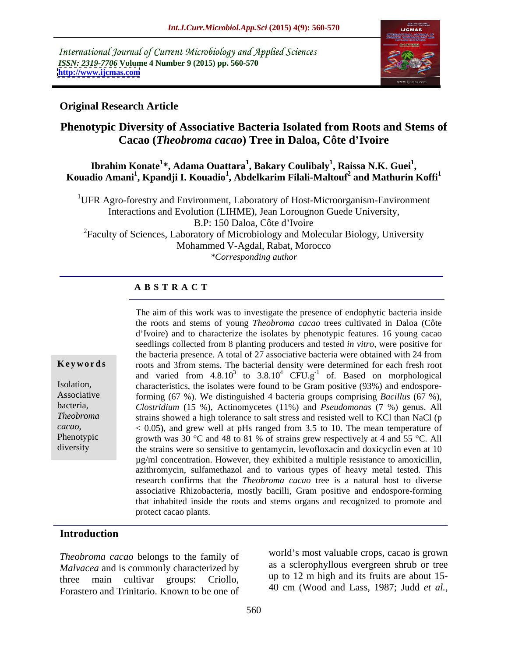International Journal of Current Microbiology and Applied Sciences *ISSN: 2319-7706* **Volume 4 Number 9 (2015) pp. 560-570 <http://www.ijcmas.com>**



#### **Original Research Article**

# **Phenotypic Diversity of Associative Bacteria Isolated from Roots and Stems of Cacao (***Theobroma cacao***) Tree in Daloa, Côte d Ivoire**

#### $\boldsymbol{\mathrm{Ibrahim\ Konate}}^{1*}$ , Adama Ouattara $^{1}$ , Bakary Coulibaly $^{1}$ , Raissa N.K. Guei $^{1}$ , **, Raissa N.K. Guei<sup>1</sup>** Ibrahim Konate<sup>1</sup>\*, Adama Ouattara<sup>1</sup>, Bakary Coulibaly<sup>1</sup>, Raissa N.K. Guei<sup>1</sup>,<br>Kouadio Amani<sup>1</sup>, Kpandji I. Kouadio<sup>1</sup>, Abdelkarim Filali-Maltouf<sup>2</sup> and Mathurin Koffi<sup>1</sup>  **and Mathurin Koffi<sup>1</sup>**

<sup>1</sup>UFR Agro-forestry and Environment, Laboratory of Host-Microorganism-Environment Interactions and Evolution (LIHME), Jean Lorougnon Guede University, B.P: 150 Daloa, Côte d'Ivoire 2Faculty of Sciences, Laboratory of Microbiology and Molecular Biology, University Mohammed V-Agdal, Rabat, Morocco *\*Corresponding author*

### **A B S T R A C T**

diversity

The aim of this work was to investigate the presence of endophytic bacteria inside the roots and stems of young *Theobroma cacao* trees cultivated in Daloa (Côte d Ivoire) and to characterize the isolates by phenotypic features. 16 young cacao seedlings collected from 8 planting producers and tested *in vitro*, were positive for the bacteria presence. A total of 27 associative bacteria were obtained with 24 from roots and 3from stems. The bacterial density were determined for each fresh root and varied from  $4.8.10^3$  to  $3.8.10^4$  CFU.g<sup>-1</sup> of. Based on morphological characteristics, the isolates were found to be Gram positive (93%) and endospore-Isolation, Associative forming (67 %). We distinguished 4 bacteria groups comprising *Bacillus* (67 %), *Clostridium* (15 %), Actinomycetes (11%) and *Pseudomonas* (7 %) genus. All bacteria, strains showed a high tolerance to salt stress and resisted well to KCl than NaCl (p *Theobroma*  cacao,  $\leq 0.05$ ), and grew well at pHs ranged from 3.5 to 10. The mean temperature of growth was 30 °C and 48 to 81 % of strains grew respectively at 4 and 55 °C. All growth was 30  $\degree$ C and 48 to 81 % of strains grew respectively at 4 and 55  $\degree$ C. All the strains were so sensitive to gentamycin, levofloxacin and doxicyclin even at 10 µg/ml concentration. However, they exhibited a multiple resistance to amoxicillin, azithromycin, sulfamethazol and to various types of heavy metal tested. This research confirms that the *Theobroma cacao* tree is a natural host to diverse associative Rhizobacteria, mostly bacilli, Gram positive and endospore-forming that inhabited inside the roots and stems organs and recognized to promote and **Keywords** roots and 3from stems. The bacterial density were determined for each fresh root and varied from 4.8.10<sup>5</sup> to 3.8.10<sup>4</sup> cfb. Based on morphological Isolation, characteristics, the isolates were found to be Gram

## **Introduction**

*Theobroma cacao* belongs to the family of *Malvacea* and is commonly characterized by three main cultivar groups: Criollo,  $\frac{up}{12}$  in migh and its truits are about 15-Forastero and Trinitario. Known to be one of

world's most valuable crops, cacao is grown as a sclerophyllous evergreen shrub or tree up to 12 m high and its fruits are about 15- 40 cm (Wood and Lass, 1987; Judd *et al.,*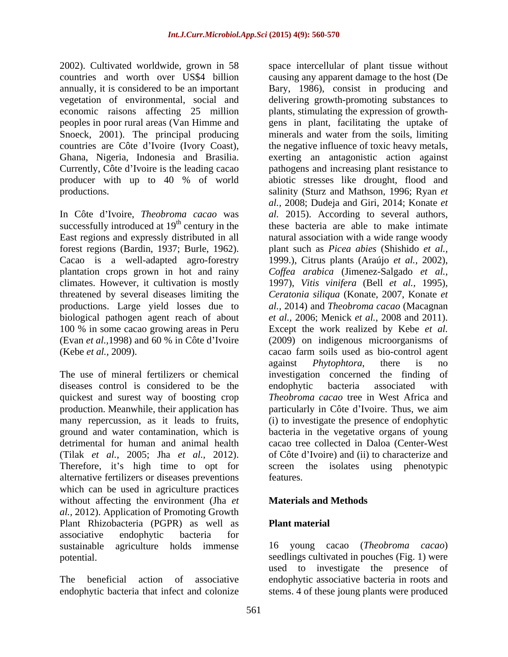2002). Cultivated worldwide, grown in 58 space intercellular of plant tissue without peoples in poor rural areas (Van Himme and

In Côte d Ivoire, *Theobroma cacao* was successfully introduced at  $19<sup>th</sup>$  century in the plantation crops grown in hot and rainy biological pathogen agent reach of about

diseases control is considered to be the endophytic bacteria associated with (Tilak *et al.,* 2005; Jha *et al.,* 2012). Therefore, it's high time to opt for alternative fertilizers or diseases preventions which can be used in agriculture practices without affecting the environment (Jha *et al.,* 2012). Application of Promoting Growth Plant Rhizobacteria (PGPR) as well as associative endophytic bacteria for sustainable agriculture holds immense 16 young cacao (*Theobroma cacao*) potential. seedlings cultivated in pouches (Fig. 1) were

countries and worth over US\$4 billion causing any apparent damage to the host (De annually, it is considered to be an important Bary, 1986), consist in producing and vegetation of environmental, social and delivering growth-promoting substances to economic raisons affecting 25 million plants, stimulating the expression of growth- Snoeck, 2001). The principal producing minerals and water from the soils, limiting countries are Côte d'Ivoire (Ivory Coast), the negative influence of toxic heavy metals, Ghana, Nigeria, Indonesia and Brasilia. exerting an antagonistic action against Currently, Côte d'Ivoire is the leading cacao pathogens and increasing plant resistance to producer with up to 40 % of world abiotic stresses like drought, flood and productions. salinity (Sturz and Mathson, 1996; Ryan *et*  East regions and expressly distributed in all natural association with a wide range woody forest regions (Bardin, 1937; Burle, 1962). plant such as *Picea abies* (Shishido *et al.,* Cacao is a well-adapted agro-forestry 1999.), Citrus plants (Araújo *et al.,* 2002),climates. However, it cultivation is mostly 1997), *Vitis vinifera* (Bell *et al.,* 1995), threatened by several diseases limiting the *Ceratonia siliqua* (Konate, 2007, Konate *et*  productions. Large yield losses due to *al.,* 2014) and *Theobroma cacao* (Macagnan 100 % in some cacao growing areas in Peru Except the work realized by Kebe *et al.* (Evan *et al.,*1998) and 60 % in Côte d Ivoire (2009) on indigenous microorganisms of (Kebe *et al.,* 2009). cacao farm soils used as bio-control agent The use of mineral fertilizers or chemical investigation concerned the finding of quickest and surest way of boosting crop *Theobroma cacao* tree in West Africa and production. Meanwhile, their application has equilibation particularly in Côte d'Ivoire. Thus, we aim many repercussion, as it leads to fruits, (i) to investigate the presence of endophytic ground and water contamination, which is bacteria in the vegetative organs of young detrimental for human and animal health cacao tree collected in Daloa (Center-West gens in plant, facilitating the uptake of *al.,* 2008; Dudeja and Giri, 2014; Konate *et al.* 2015). According to several authors, these bacteria are able to make intimate *Cof ea arabica* (Jimenez-Salgado *et al., et al.,* 2006; Menick *et al.,* 2008 and 2011). against *Phytophtora*, there is no endophytic bacteria associated with of Côte d Ivoire) and (ii) to characterize and screen the isolates using phenotypic features.

## **Materials and Methods**

### **Plant material**

The beneficial action of associative endophytic associative bacteria in roots and endophytic bacteria that infect and colonize stems. 4 of these joung plants were produced used to investigate the presence of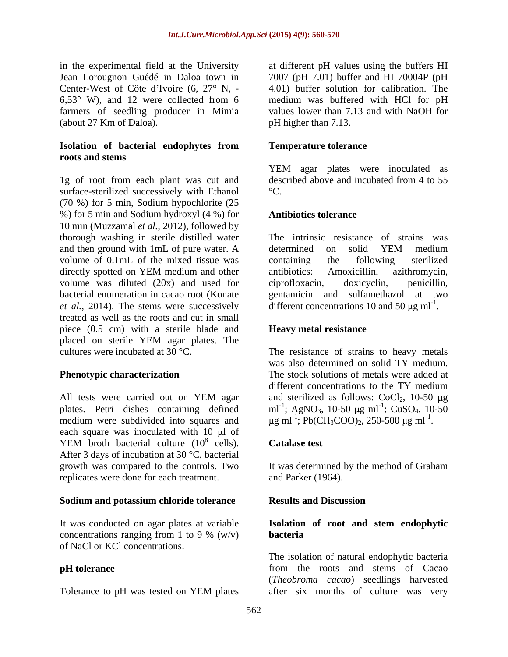(about 27 Km of Daloa).

#### **Isolation of bacterial endophytes from roots and stems**

1g of root from each plant was cut and described above and incubated from 4 to 55 surface-sterilized successively with Ethanol <sup>o</sup>C. (70 %) for 5 min, Sodium hypochlorite (25 %) for 5 min and Sodium hydroxyl (4 %) for 10 min (Muzzamal *et al.,* 2012), followed by thorough washing in sterile distilled water and then ground with 1mL of pure water. A volume of 0.1mL of the mixed tissue was containing the following sterilized directly spotted on YEM medium and other antibiotics: Amoxicillin, azithromycin, volume was diluted (20x) and used for ciprofloxacin, doxicyclin, penicillin, bacterial enumeration in cacao root (Konate gentamicin and sulfamethazol at two *et al.,* 2014). The stems were successively treated as well as the roots and cut in small piece (0.5 cm) with a sterile blade and **Heavy metal resistance** placed on sterile YEM agar plates. The cultures were incubated at 30 °C. The resistance of strains to heavy metals

All tests were carried out on YEM agar and sterilized as follows:  $CoCl<sub>2</sub>$ , 10-50  $\mu$ g plates. Petri dishes containing defined  $ml^{-1}$ ; AgNO<sub>3</sub>, 10-50  $\mu$ g ml<sup>-1</sup>; CuSO<sub>4</sub>, 10-50 medium were subdivided into squares and each square was inoculated with  $10 \mu l$  of YEM broth bacterial culture  $(10^8 \text{ cells})$ . **Catalase test** After 3 days of incubation at 30 °C, bacterial growth was compared to the controls. Two It was determined by the method of Graham replicates were done for each treatment.

### **Sodium and potassium chloride tolerance**

It was conducted on agar plates at variable<br>concentrations ranging from 1 to 9 %  $(w/v)$ concentrations ranging from 1 to 9 %  $(w/v)$  **bacteria** of NaCl or KCl concentrations.

in the experimental field at the University at different pH values using the buffers HI Jean Lorougnon Guédé in Daloa town in 7007 (pH 7.01) buffer and HI 70004P **(**pH Center-West of Côte d'Ivoire  $(6, 27^{\circ} \text{ N}, -4.01)$  buffer solution for calibration. The 6,53° W), and 12 were collected from 6 medium was buffered with HCl for pH farmers of seedling producer in Mimia values lower than 7.13 and with NaOH for pH higher than 7.13.

### **Temperature tolerance**

YEM agar plates were inoculated as described above and incubated from 4 to 55  $\mathrm{C}$ .

### **Antibiotics tolerance**

The intrinsic resistance of strains was determined on solid YEM medium containing the following sterilized antibiotics: Amoxicillin, azithromycin, ciprofloxacin, doxicyclin, penicillin, different concentrations 10 and 50  $\mu$ g ml<sup>-1</sup>. .

### **Heavy metal resistance**

**Phenotypic characterization** The stock solutions of metals were added at was also determined on solid TY medium. different concentrations to the TY medium and sterilized as follows:  $CoCl<sub>2</sub>$ , 10-50 µg g ml<sup>-1</sup>; Pb(CH<sub>3</sub>COO)<sub>2</sub>, 250-500 µg ml<sup>-1</sup>. .

#### $\frac{8}{2}$  cells) Catalogs text cells). Catalase test contract the contract of the contract of the contract of the contract of the contract of the contract of the contract of the contract of the contract of the contract of the contract of the contract of **Catalase test**

and Parker (1964).

### **Results and Discussion**

### **Isolation of root and stem endophytic bacteria**

**pH tolerance** from the roots and stems of Cacao Tolerance to pH was tested on YEM plates after six months of culture was very The isolation of natural endophytic bacteria (*Theobroma cacao*) seedlings harvested after six months of culture was very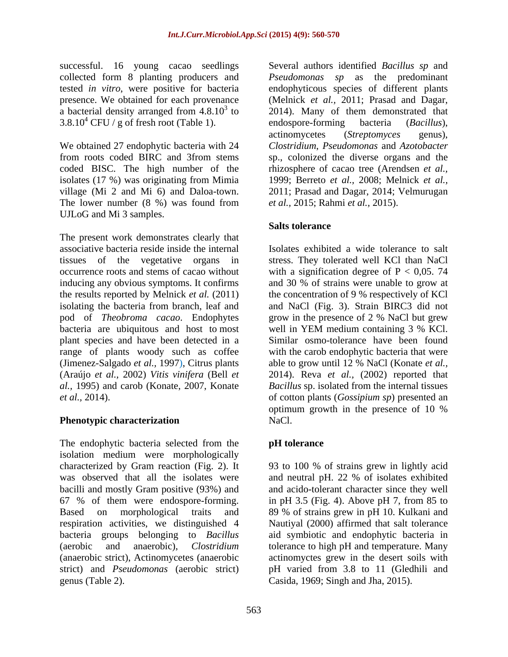successful. 16 young cacao seedlings tested *in vitro*, were positive for bacteria

We obtained 27 endophytic bacteria with 24 isolates (17 %) was originating from Mimia The lower number (8 %) was found from *et al.*, 2015; Rahmi *et al.*, 2015). UJLoG and Mi 3 samples.

The present work demonstrates clearly that bacteria are ubiquitous and host to most well in YEM medium containing 3 % KCl.

The endophytic bacteria selected from the isolation medium were morphologically characterized by Gram reaction (Fig. 2). It 93 to 100 % of strains grew in lightly acid was observed that all the isolates were and neutral pH. 22 % of isolates exhibited bacilli and mostly Gram positive (93%) and and acido-tolerant character since they well 67 % of them were endospore-forming. in pH 3.5 (Fig. 4). Above pH 7, from 85 to Based on morphological traits and 89 % of strains grew in pH 10. Kulkani and respiration activities, we distinguished 4 Nautiyal (2000) affirmed that salt tolerance bacteria groups belonging to *Bacillus* aid symbiotic and endophytic bacteria in (aerobic and anaerobic), *Clostridium* tolerance to high pH and temperature. Many (anaerobic strict), Actinomycetes (anaerobic actinomyctes grew in the desert soils with strict) and *Pseudomonas* (aerobic strict) genus (Table 2). Casida, 1969; Singh and Jha, 2015).

collected form 8 planting producers and *Pseudomonas sp* as the predominant presence. We obtained for each provenance (Melnick *et al.,* 2011; Prasad and Dagar, a bacterial density arranged from  $4.8.10<sup>3</sup>$  to 2014). Many of them demonstrated that  $3.8.10^4$  CFU / g of fresh root (Table 1). endospore-forming bacteria (Bacillus), from roots coded BIRC and 3from stems sp., colonized the diverse organs and the coded BISC. The high number of the rhizosphere of cacao tree (Arendsen *et al.,* village (Mi 2 and Mi 6) and Daloa-town. 2011; Prasad and Dagar, 2014; Velmurugan Several authors identified *Bacillus sp* and endophyticous species of different plants endospore-forming bacteria (*Bacillus*), actinomycetes (*Streptomyces* genus), *Clostridium*, *Pseudomonas* and *Azotobacter* 1999; Berreto *et al.,* 2008; Melnick *et al., et al.,* 2015; Rahmi *et al.,* 2015).

### **Salts tolerance**

associative bacteria reside inside the internal Isolates exhibited a wide tolerance to salt tissues of the vegetative organs in stress. They tolerated well KCl than NaCl occurrence roots and stems of cacao without with a signification degree of  $P < 0.05$ . 74 inducing any obvious symptoms. It confirms and 30 % of strains were unable to grow at the results reported by Melnick *et al.* (2011) the concentration of 9 % respectively of KCl isolating the bacteria from branch, leaf and and NaCl (Fig. 3). Strain BIRC3 did not pod of *Theobroma cacao*. Endophytes grow in the presence of 2 % NaCl but grew plant species and have been detected in a Similar osmo-tolerance have been found range of plants woody such as coffee with the carob endophytic bacteria that were (Jimenez-Salgado *et al.,* 1997), Citrus plants able to grow until 12 % NaCl (Konate *et al.,* (Araújo *et al.,* 2002) *Vitis vinifera* (Bell *et*  2014). Reva *et al.,* (2002) reported that *al.,* 1995) and carob (Konate, 2007, Konate *Bacillus* sp. isolated from the internal tissues *et al.,* 2014). of cotton plants (*Gossipium sp*) presented an **Phenotypic characterization** NaCl. well in YEM medium containing 3 % KCl. optimum growth in the presence of 10 % NaCl.

### **pH tolerance**

in pH 3.5 (Fig. 4). Above pH 7, from 85 to 89 % of strains grew in pH 10. Kulkani and pH varied from 3.8 to 11 (Gledhili and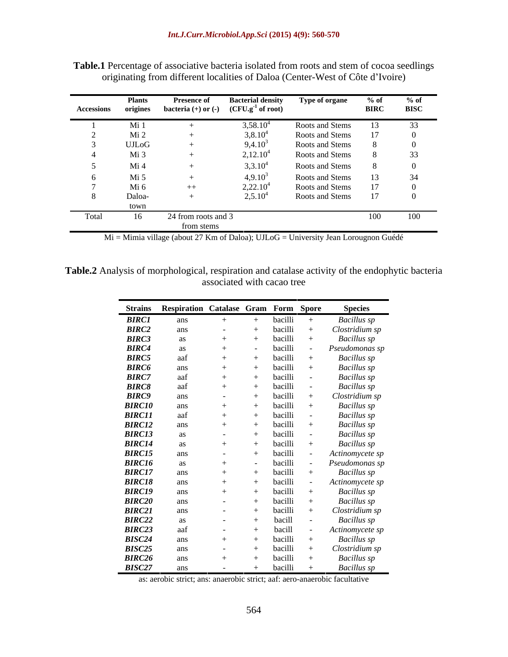|       | Plants<br>Accessions origines | <b>Presence of</b><br>bacteria $(+)$ or $(-)$ $(CFU.g^{-1}$ of root) | <b>Bacterial density</b> | Type of organe  | $%$ of<br><b>BIRC</b> | $%$ of<br><b>BISC</b> |
|-------|-------------------------------|----------------------------------------------------------------------|--------------------------|-----------------|-----------------------|-----------------------|
|       |                               |                                                                      |                          |                 |                       |                       |
|       | Mi 1                          |                                                                      | 3,58.10                  | Roots and Stems |                       | 33                    |
|       | $M1$ 2                        |                                                                      | $3,8.10^{4}$             | Roots and Stems |                       |                       |
|       | UJLoG                         |                                                                      | $9,4.10^{3}$             | Roots and Stems |                       |                       |
|       | Mi 3                          |                                                                      | 2,12.10 <sup>4</sup>     | Roots and Stems |                       | 33                    |
|       | Mi 4                          |                                                                      | 3,3.10 <sup>4</sup>      | Roots and Stems |                       |                       |
|       | Mi 5                          |                                                                      | $4,9.10^3$               | Roots and Stems |                       | 34                    |
|       | Mi 6                          | $++$                                                                 | 2,22.10 <sup>4</sup>     | Roots and Stems |                       |                       |
|       | Daloa-                        |                                                                      | $2,5.10^4$               | Roots and Stems |                       |                       |
|       | town                          |                                                                      |                          |                 |                       |                       |
| Total | 16                            | 24 from roots and 3                                                  |                          |                 | 100                   | 100                   |
|       |                               | from stems                                                           |                          |                 |                       |                       |

**Table.1** Percentage of associative bacteria isolated from roots and stem of cocoa seedlings originating from different localities of Daloa (Center-West of Côte d'Ivoire)

Mi = Mimia village (about 27 Km of Daloa); UJLoG = University Jean Lorougnon Guédé

**Table.2** Analysis of morphological, respiration and catalase activity of the endophytic bacteria associated with cacao tree

| Strains Respiration Catalase Gram Form Spore<br><b>Species</b><br><b>BIRC1</b><br>Bacillus sp<br>bacilli<br>ans<br>$+$<br><b>BIRC2</b><br>bacilli<br>Clostridium sp<br>ans<br>$+$<br>$\sim$<br>bacilli<br><b>Bacillus</b> sp<br>$+$<br>as<br>$^{+}$<br><b>BIRC4</b><br>bacilli<br>Pseudomonas sp<br>$\sim$<br>аs<br><b>BIRC5</b><br>bacilli<br><b>Bacillus</b> sp<br>aat<br>$^{+}$<br><b>BIRC6</b><br>bacilli<br><b>Bacillus</b> sp<br>ans<br><b>BIRC7</b><br>Bacillus sp<br>bacilli<br>aat<br>$^{+}$<br><b>BIRC8</b><br>Bacillus sp<br>bacilli<br>aaf<br>$+$<br><b>BIRC9</b><br>bacilli<br>Clostridium sp<br>ans<br>$+$<br>$\sim 100$<br><b>Bacillus</b> sp<br>bacilli<br>ans<br>Bacillus sp<br>bacilli<br>aat<br>bacilli<br>Bacillus sp<br>ans<br>bacilli<br>Bacillus sp<br>as<br><b>Contract Contract</b><br><b>Bacillus</b> sp<br>bacilli<br>$^{+}$<br>$+$<br>bacilli<br>Actinomycete sp<br>ans<br>$+$<br>$\sim 100$ m $^{-1}$<br>bacilli<br>Pseudomonas sp<br>$+$<br>$\sim$ $ \sim$<br><b>Bacillus</b> sp<br>bacilli<br>ans<br>$+$<br>bacilli<br>Actinomycete sp<br>ans<br>$+$<br>bacilli<br>Bacillus sp<br>ans<br>$^{+}$<br>$^{+}$<br><b>Bacillus</b> sp<br>bacilli<br>ans<br>bacilli<br>Clostridium sp<br>ans<br>$+$<br>$\sim 100$<br>bacill<br>Bacillus sp<br>$+$<br>as<br><b>State State</b><br>bacill<br>Actinomycete sp<br>aai<br>$+$<br>$\sim 100$ m $^{-1}$ |        |     |         |  |
|--------------------------------------------------------------------------------------------------------------------------------------------------------------------------------------------------------------------------------------------------------------------------------------------------------------------------------------------------------------------------------------------------------------------------------------------------------------------------------------------------------------------------------------------------------------------------------------------------------------------------------------------------------------------------------------------------------------------------------------------------------------------------------------------------------------------------------------------------------------------------------------------------------------------------------------------------------------------------------------------------------------------------------------------------------------------------------------------------------------------------------------------------------------------------------------------------------------------------------------------------------------------------------------------------------------------------------------------------------------------------|--------|-----|---------|--|
| <b>BIRC3</b><br><b>BIRC10</b><br><b>BIRC11</b><br><b>BIRC12</b><br><b>BIRC13</b><br><b>BIRC14</b><br><b>BIRC15</b><br><b>BIRC16</b><br><b>BIRC17</b><br><b>BIRC18</b><br><b>BIRC19</b><br><b>BIRC20</b><br><b>BIRC21</b><br><b>BIRC22</b><br>BIRC23                                                                                                                                                                                                                                                                                                                                                                                                                                                                                                                                                                                                                                                                                                                                                                                                                                                                                                                                                                                                                                                                                                                      |        |     |         |  |
|                                                                                                                                                                                                                                                                                                                                                                                                                                                                                                                                                                                                                                                                                                                                                                                                                                                                                                                                                                                                                                                                                                                                                                                                                                                                                                                                                                          |        |     |         |  |
|                                                                                                                                                                                                                                                                                                                                                                                                                                                                                                                                                                                                                                                                                                                                                                                                                                                                                                                                                                                                                                                                                                                                                                                                                                                                                                                                                                          |        |     |         |  |
|                                                                                                                                                                                                                                                                                                                                                                                                                                                                                                                                                                                                                                                                                                                                                                                                                                                                                                                                                                                                                                                                                                                                                                                                                                                                                                                                                                          |        |     |         |  |
|                                                                                                                                                                                                                                                                                                                                                                                                                                                                                                                                                                                                                                                                                                                                                                                                                                                                                                                                                                                                                                                                                                                                                                                                                                                                                                                                                                          |        |     |         |  |
|                                                                                                                                                                                                                                                                                                                                                                                                                                                                                                                                                                                                                                                                                                                                                                                                                                                                                                                                                                                                                                                                                                                                                                                                                                                                                                                                                                          |        |     |         |  |
|                                                                                                                                                                                                                                                                                                                                                                                                                                                                                                                                                                                                                                                                                                                                                                                                                                                                                                                                                                                                                                                                                                                                                                                                                                                                                                                                                                          |        |     |         |  |
|                                                                                                                                                                                                                                                                                                                                                                                                                                                                                                                                                                                                                                                                                                                                                                                                                                                                                                                                                                                                                                                                                                                                                                                                                                                                                                                                                                          |        |     |         |  |
|                                                                                                                                                                                                                                                                                                                                                                                                                                                                                                                                                                                                                                                                                                                                                                                                                                                                                                                                                                                                                                                                                                                                                                                                                                                                                                                                                                          |        |     |         |  |
|                                                                                                                                                                                                                                                                                                                                                                                                                                                                                                                                                                                                                                                                                                                                                                                                                                                                                                                                                                                                                                                                                                                                                                                                                                                                                                                                                                          |        |     |         |  |
|                                                                                                                                                                                                                                                                                                                                                                                                                                                                                                                                                                                                                                                                                                                                                                                                                                                                                                                                                                                                                                                                                                                                                                                                                                                                                                                                                                          |        |     |         |  |
|                                                                                                                                                                                                                                                                                                                                                                                                                                                                                                                                                                                                                                                                                                                                                                                                                                                                                                                                                                                                                                                                                                                                                                                                                                                                                                                                                                          |        |     |         |  |
|                                                                                                                                                                                                                                                                                                                                                                                                                                                                                                                                                                                                                                                                                                                                                                                                                                                                                                                                                                                                                                                                                                                                                                                                                                                                                                                                                                          |        |     |         |  |
|                                                                                                                                                                                                                                                                                                                                                                                                                                                                                                                                                                                                                                                                                                                                                                                                                                                                                                                                                                                                                                                                                                                                                                                                                                                                                                                                                                          |        |     |         |  |
|                                                                                                                                                                                                                                                                                                                                                                                                                                                                                                                                                                                                                                                                                                                                                                                                                                                                                                                                                                                                                                                                                                                                                                                                                                                                                                                                                                          |        |     |         |  |
|                                                                                                                                                                                                                                                                                                                                                                                                                                                                                                                                                                                                                                                                                                                                                                                                                                                                                                                                                                                                                                                                                                                                                                                                                                                                                                                                                                          |        |     |         |  |
|                                                                                                                                                                                                                                                                                                                                                                                                                                                                                                                                                                                                                                                                                                                                                                                                                                                                                                                                                                                                                                                                                                                                                                                                                                                                                                                                                                          |        |     |         |  |
|                                                                                                                                                                                                                                                                                                                                                                                                                                                                                                                                                                                                                                                                                                                                                                                                                                                                                                                                                                                                                                                                                                                                                                                                                                                                                                                                                                          |        |     |         |  |
|                                                                                                                                                                                                                                                                                                                                                                                                                                                                                                                                                                                                                                                                                                                                                                                                                                                                                                                                                                                                                                                                                                                                                                                                                                                                                                                                                                          |        |     |         |  |
|                                                                                                                                                                                                                                                                                                                                                                                                                                                                                                                                                                                                                                                                                                                                                                                                                                                                                                                                                                                                                                                                                                                                                                                                                                                                                                                                                                          |        |     |         |  |
|                                                                                                                                                                                                                                                                                                                                                                                                                                                                                                                                                                                                                                                                                                                                                                                                                                                                                                                                                                                                                                                                                                                                                                                                                                                                                                                                                                          |        |     |         |  |
|                                                                                                                                                                                                                                                                                                                                                                                                                                                                                                                                                                                                                                                                                                                                                                                                                                                                                                                                                                                                                                                                                                                                                                                                                                                                                                                                                                          |        |     |         |  |
|                                                                                                                                                                                                                                                                                                                                                                                                                                                                                                                                                                                                                                                                                                                                                                                                                                                                                                                                                                                                                                                                                                                                                                                                                                                                                                                                                                          |        |     |         |  |
|                                                                                                                                                                                                                                                                                                                                                                                                                                                                                                                                                                                                                                                                                                                                                                                                                                                                                                                                                                                                                                                                                                                                                                                                                                                                                                                                                                          |        |     |         |  |
|                                                                                                                                                                                                                                                                                                                                                                                                                                                                                                                                                                                                                                                                                                                                                                                                                                                                                                                                                                                                                                                                                                                                                                                                                                                                                                                                                                          | BISC24 | $+$ | bacilli |  |
| Bacillus sp<br>ans<br>$^{+}$                                                                                                                                                                                                                                                                                                                                                                                                                                                                                                                                                                                                                                                                                                                                                                                                                                                                                                                                                                                                                                                                                                                                                                                                                                                                                                                                             |        |     |         |  |
| <b>BISC25</b><br>Clostridium sp<br>bacilli<br>ans<br>$\sim$<br><b>BIRC26</b><br>bacilli<br>Bacillus sp<br>ans                                                                                                                                                                                                                                                                                                                                                                                                                                                                                                                                                                                                                                                                                                                                                                                                                                                                                                                                                                                                                                                                                                                                                                                                                                                            |        |     |         |  |
| <b>BISC27</b><br>bacilli<br><b>Bacillus</b> sp<br>ans<br>$+$<br>$ +$                                                                                                                                                                                                                                                                                                                                                                                                                                                                                                                                                                                                                                                                                                                                                                                                                                                                                                                                                                                                                                                                                                                                                                                                                                                                                                     |        |     |         |  |

as: aerobic strict; ans: anaerobic strict; aaf: aero-anaerobic facultative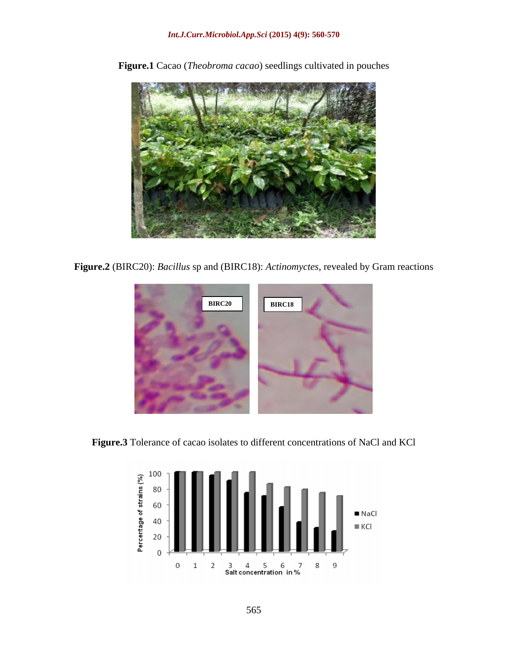

**Figure.1** Cacao (*Theobroma cacao*) seedlings cultivated in pouches

**Figure.2** (BIRC20): *Bacillus* sp and (BIRC18): *Actinomyctes*, revealed by Gram reactions



**Figure.3** Tolerance of cacao isolates to different concentrations of NaCl and KCl

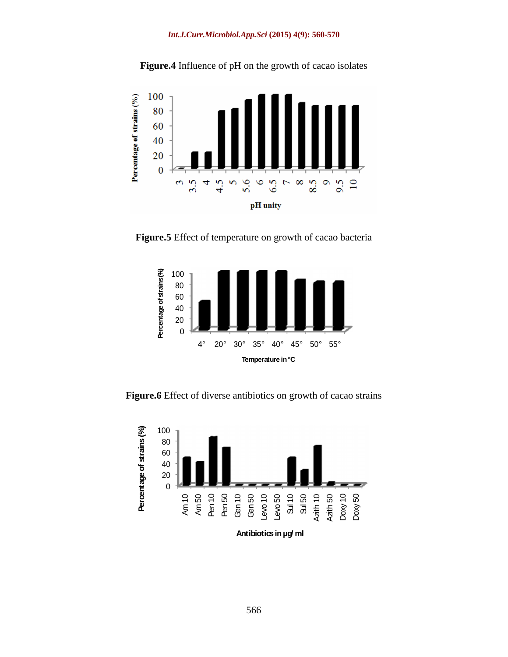



**Figure.5** Effect of temperature on growth of cacao bacteria



**Figure.6** Effect of diverse antibiotics on growth of cacao strains

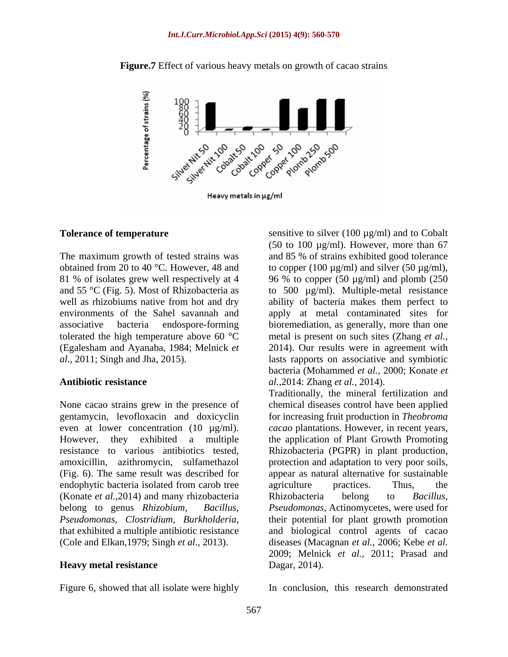

**Figure.7** Effect of various heavy metals on growth of cacao strains

Heavy metals in µg/ml

None cacao strains grew in the presence of endophytic bacteria isolated from carob tree agriculture practices. Thus, the (Konate *et al.,*2014) and many rhizobacteria (Cole and Elkan,1979; Singh *et al.,* 2013).

#### **Heavy metal resistance**

Figure 6, showed that all isolate were highly

**Tolerance of temperature** sensitive to silver (100 µg/ml) and to Cobalt The maximum growth of tested strains was and 85 % of strains exhibited good tolerance obtained from 20 to 40 °C. However, 48 and to copper (100  $\mu$ g/ml) and silver (50  $\mu$ g/ml), 81 % of isolates grew well respectively at 4 96 % to copper (50 µg/ml) and plomb (250 and 55 °C (Fig. 5). Most of Rhizobacteria as  $\qquad \qquad$  to 500  $\mu$ g/ml). Multiple-metal resistance well as rhizobiums native from hot and dry ability of bacteria makes them perfect to environments of the Sahel savannah and apply at metal contaminated sites for associative bacteria endospore-forming bioremediation, as generally, more than one tolerated the high temperature above 60 °C metal is present on such sites (Zhang *et al.,* (Egalesham and Ayanaba, 1984; Melnick *et*  2014). Our results were in agreement with *al.,* 2011; Singh and Jha, 2015). lasts rapports on associative and symbiotic **Antibiotic resistance** *al.,*2014: Zhang *et al.,* 2014). (50 to 100  $\mu$ g/ml). However, more than 67 bacteria (Mohammed *et al.,* 2000; Konate *et* 

gentamycin, levofloxacin and doxicyclin for increasing fruit production in *Theobroma*  even at lower concentration (10 µg/ml). *cacao* plantations. However, in recent years, However, they exhibited a multiple the application of Plant Growth Promoting resistance to various antibiotics tested, Rhizobacteria (PGPR) in plant production, amoxicillin, azithromycin, sulfamethazol protection and adaptation to very poor soils, (Fig. 6). The same result was described for appear as natural alternative for sustainable belong to genus *Rhizobium*, *Bacillus*, *Pseudomonas*, Actinomycetes, were used for *Pseudomonas*, *Clostridium*, *Burkholderia*, their potential for plant growth promotion that exhibited a multiple antibiotic resistance and biological control agents of cacao Traditionally, the mineral fertilization and chemical diseases control have been applied agriculture practices. Thus, the Rhizobacteria belong to *Bacillus*, diseases (Macagnan *et al.,* 2006; Kebe *et al.*2009; Melnick *et al.,* 2011; Prasad and Dagar, 2014).

In conclusion, this research demonstrated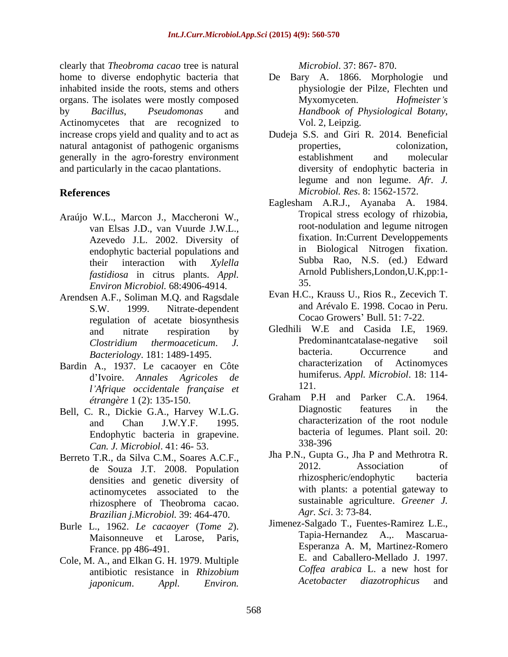clearly that *Theobroma cacao* tree is natural home to diverse endophytic bacteria that De Bary A. 1866. Morphologie und inhabited inside the roots, stems and others organs. The isolates were mostly composed Myxomyceten. Hofmeister's by *Bacillus*, *Pseudomonas* and Actinomycetes that are recognized to Vol. 2, Leipzig. increase crops yield and quality and to act as Dudeja S.S. and Giri R. 2014. Beneficial natural antagonist of pathogenic organisms properties, colonization, generally in the agro-forestry environment and particularly in the cacao plantations.

- Araújo W.L., Marcon J., Maccheroni W., van Elsas J.D., van Vuurde J.W.L., Azevedo J.L. 2002. Diversity of endophytic bacterial populations and *fastidiosa* in citrus plants. *Appl. Environ Microbiol.* 68:4906-4914.
- Arendsen A.F., Soliman M.Q. and Ragsdale regulation of acetate biosynthesis
- Bardin A., 1937. Le cacaoyer en Côte d Ivoire. *Annales Agricoles de l Afrique occidentale française et*
- Endophytic bacteria in grapevine. bacteria<br>Can I Microbiol 41:46 53 338-396 *Can. J. Microbiol*. 41: 46- 53.
- Berreto T.R., da Silva C.M., Soares A.C.F., Jha P.N., Gupta G., Jha P and Methrotra R.<br>de Souza LT 2008 Population 2012. Association of densities and genetic diversity of actinomycetes associated to the rhizosphere of Theobroma cacao. *Brazilian j.Microbiol.* 39: 464-470.
- Burle L., 1962. *Le cacaoyer* (*Tome 2*). Jimenez-Salgado T., Fuentes-Ramirez L.E.,<br>Maisonneuve et Larose Paris (*Tapia-Hernandez A.*, Mascarua-Maisonneuve et Larose, Paris,
- *japonicum*. *Appl. Environ.*

*Microbiol*. 37: 867- 870.

- physiologie der Pilze, Flechten und Myxomyceten. *Hofmeister s Handbook of Physiological Botany*, Vol. 2, Leipzig.
- **References** *Microbiol. Res*. 8: 1562-1572. properties, colonization, establishment and molecular diversity of endophytic bacteria in legume and non legume. *Afr. J.*
	- their interaction with *Xylella*  Eaglesham A.R.J., Ayanaba A. 1984. Tropical stress ecology of rhizobia, root-nodulation and legume nitrogen fixation. In:Current Developpements in Biological Nitrogen fixation. Subba Rao, N.S. (ed.) Edward Arnold Publishers,London,U.K,pp:1- 35.
	- S.W. 1999. Nitrate-dependent and Arévalo E. 1998. Cocao in Peru. Evan H.C., Krauss U., Rios R., Zecevich T. Cocao Growers' Bull. 51: 7-22.
	- and nitrate respiration by Gledhili W.E and Casida I.E, 1969. *Clostridium thermoaceticum*. *J. Bacteriology*. 181: 1489-1495. Predominantcatalase-negative soil bacteria. Occurrence and characterization of Actinomyces humiferus. *Appl. Microbiol*. 18: 114- 121.
- *étrangère* 1 (2): 135-150. Graham P.H and Parker C.A. 1964. Bell, C. R., Dickie G.A., Harvey W.L.G. Diagnostic features in the and Chan J.W.Y.F. 1995. Diagnostic features in the characterization of the root nodule bacteria of legumes. Plant soil. 20: 338-396
	- de Souza J.T. 2008. Population 2012. Association of the Souza J.T. 2008. Population 2012. Association of Jha P.N., Gupta G., Jha P and Methrotra R. 2012. Association of rhizospheric/endophytic bacteria with plants: a potential gateway to sustainable agriculture. *Greener J. Agr. Sci*. 3: 73-84.
- France. pp 486-491. Esperanza A. M, Martinez-Romero Cole, M. A., and Elkan G. H. 1979. Multiple E. and Caballero-Mellado J. 1997.<br>
coffea arabica L. a new host for antibiotic resistance in *Rhizobium Coffee arabica* L. a new host for<br>ianonicum **Appl** *Environ Acetobacter diazotrophicus* and Jimenez-Salgado T., Fuentes-Ramirez L.E., Tapia-Hernandez A.,. E. and Caballero-Mellado J. 1997. *Coffea arabica* L. a new host for *Acetobacter diazotrophicus* and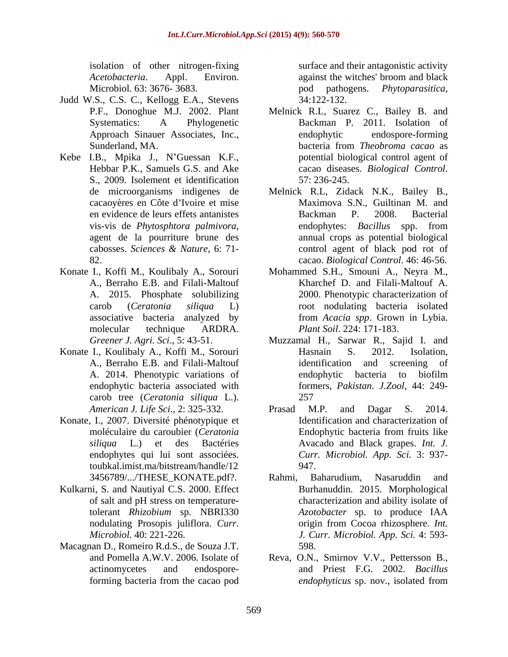*Acetobacteria*. Appl. Environ. Microbiol. 63: 3676- 3683. The contract of pod pathogens. *Phytoparasitica*,

- Judd W.S., C.S. C., Kellogg E.A., Stevens
- Kebe I.B., Mpika J., N'Guessan K.F., S., 2009. Isolement et identification
- Konate I., Koffi M., Koulibaly A., Sorouri
- Konate I., Koulibaly A., Koffi M., Sorouri Hasnain S. 2012. Isolation, A., Berraho E.B. and Filali-Maltouf carob tree (*Ceratonia siliqua* L.).
- Konate, I., 2007. Diversité phénotypique et toubkal.imist.ma/bitstream/handle/12
- Kulkarni, S. and Nautiyal C.S. 2000. Effect
- Macagnan D., Romeiro R.d.S., de Souza J.T.

isolation of other nitrogen-fixing surface and their antagonistic activity against the witches' broom and black pod pathogens. *Phytoparasitica,* 34:122-132.

- P.F., Donoghue M.J. 2002. Plant Melnick R.L, Suarez C., Bailey B. and Systematics: A Phylogenetic Backman P. 2011. Isolation of Approach Sinauer Associates, Inc., Sunderland, MA. bacteria from Theobroma cacao as Hebbar P.K., Samuels G.S. and Ake cacao diseases. *Biological Control*. endophytic endospore-forming bacteria from *Theobroma cacao* as potential biological control agent of cacao diseases. *Biological Control*. 57: 236-245.
- de microorganisms indigenes de Melnick R.L, Zidack N.K., Bailey B., cacaoyères en Côte d Ivoire et mise Maximova S.N., Guiltinan M. and en evidence de leurs effets antanistes vis-vis de *Phytosphtora palmivora*, and endophytes: *Bacillus* spp. from agent de la pourriture brune des annual crops as potential biological cabosses. *Sciences & Nature*, 6: 71- 82. cacao. *Biological Control*. 46: 46-56. Backman P. 2008. Bacterial endophytes: *Bacillus* spp. from annual crops as potential biological control agent of black pod rot of
- A., Berraho E.B. and Filali-Maltouf Kharchef D. and Filali-Maltouf A. A. 2015. Phosphate solubilizing 2000. Phenotypic characterization of carob (*Ceratonia siliqua* L) root nodulating bacteria isolated associative bacteria analyzed by from *Acacia spp*. Grown in Lybia. molecular technique ARDRA. *Plant Soil*. 224: 171-183. Mohammed S.H., Smouni A., Neyra M.,
- *Greener J. Agri. Sci*., 5: 43-51. Muzzamal H., Sarwar R., Sajid I. and A. 2014. Phenotypic variations of endophytic bacteria associated with formers, *Pakistan. J.Zool*, 44: 249- Hasnain S. 2012. Isolation, identification and screening of endophytic bacteria to biofilm 257
- *American J. Life Sci*., 2: 325-332. moléculaire du caroubier (*Ceratonia siliqua* L.) et des Bactéries Avacado and Black grapes. *Int. J.* endophytes qui lui sont associées. *Curr. Microbiol. App. Sci.* 3: 937- Prasad M.P. and Dagar S. 2014. Identification and characterization of Endophytic bacteria from fruits like 947.
- 3456789/.../THESE KONATE.pdf?. Rahmi, Baharudium, Nasaruddin and of salt and pH stress on temperature-characterization and ability isolate of tolerant *Rhizobium* sp. NBRI330 nodulating Prosopis juliflora. *Curr*. origin from Cocoa rhizosphere. *Int*. *Microbiol*. 40: 221-226. *J. Curr. Microbiol. App. Sci.* 4: 593- Rahmi, Baharudium, Nasaruddin and Burhanuddin. 2015. Morphological *Azotobacter* sp. to produce IAA origin from Cocoa rhizosphere. *Int.*  598.
- and Pomella A.W.V. 2006. Isolate of Reva, O.N., Smirnov V.V., Pettersson B., actinomycetes and endospore-and Priest F.G. 2002. *Bacillus*  forming bacteria from the cacao pod *endophyticus* sp. nov., isolated from *endophyticus* sp. nov., isolated from